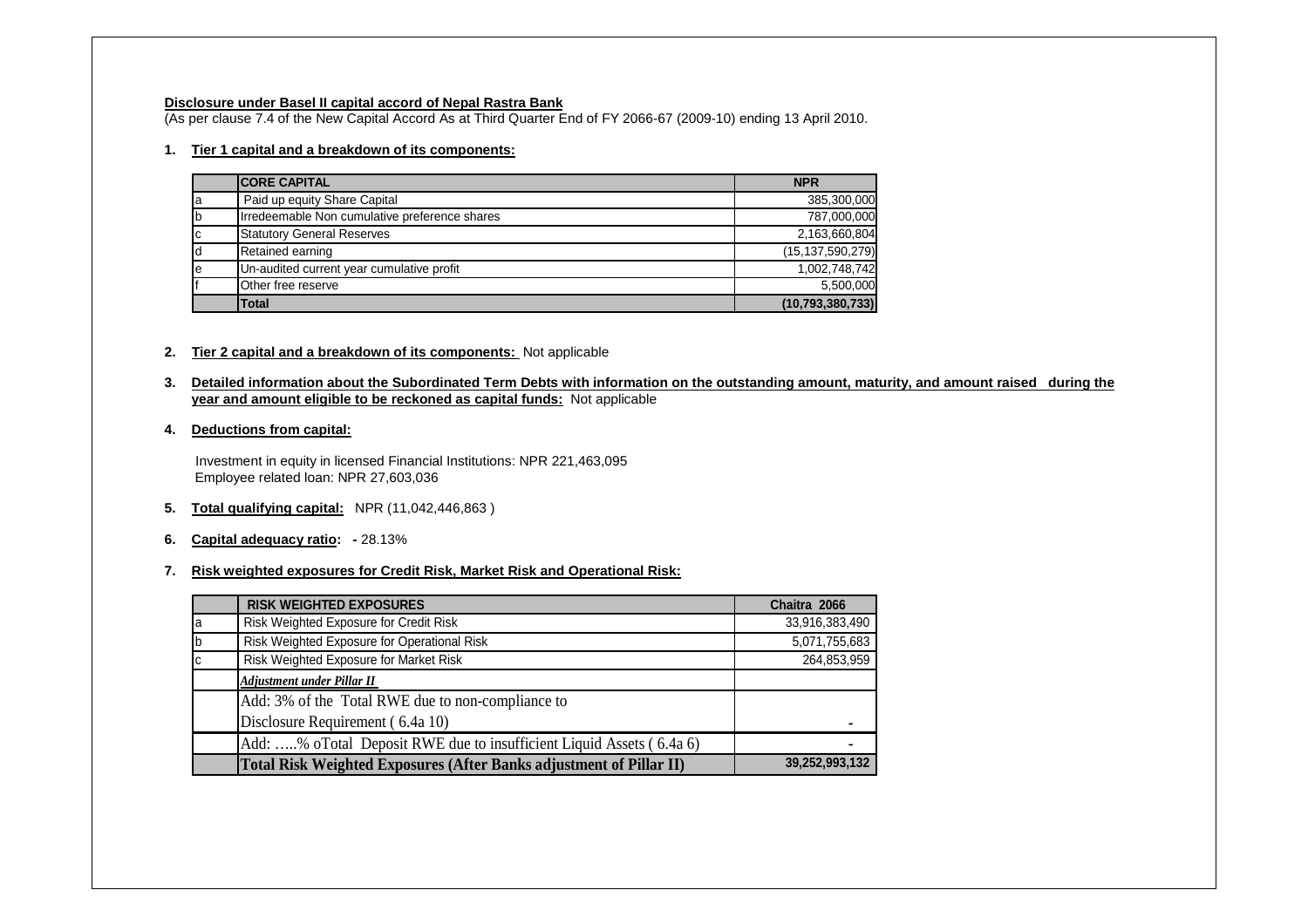## **Disclosure under Basel II capital accord of Nepal Rastra Bank**

(As per clause 7.4 of the New Capital Accord As at Third Quarter End of FY 2066-67 (2009-10) ending 13 April 2010.

# **1. Tier 1 capital and a breakdown of its components:**

|    | <b>ICORE CAPITAL</b>                          | <b>NPR</b>          |
|----|-----------------------------------------------|---------------------|
| la | Paid up equity Share Capital                  | 385.300.000         |
| Ιb | Irredeemable Non cumulative preference shares | 787,000,000         |
| Iс | <b>Statutory General Reserves</b>             | 2,163,660,804       |
| Id | Retained earning                              | (15, 137, 590, 279) |
| le | Un-audited current year cumulative profit     | 1.002.748.742       |
|    | Other free reserve                            | 5,500,000           |
|    | <b>Total</b>                                  | (10, 793, 380, 733) |

## **2. Tier 2 capital and a breakdown of its components:** Not applicable

- **3. Detailed information about the Subordinated Term Debts with information on the outstanding amount, maturity, and amount raised during the year and amount eligible to be reckoned as capital funds:** Not applicable
- **4. Deductions from capital:**

 Investment in equity in licensed Financial Institutions: NPR 221,463,095 Employee related loan: NPR 27,603,036

- **5. Total qualifying capital:** NPR (11,042,446,863 )
- **6. Capital adequacy ratio:** 28.13%

# **7. Risk weighted exposures for Credit Risk, Market Risk and Operational Risk:**

|              | <b>RISK WEIGHTED EXPOSURES</b>                                       | Chaitra 2066   |
|--------------|----------------------------------------------------------------------|----------------|
| la           | Risk Weighted Exposure for Credit Risk                               | 33,916,383,490 |
| b            | Risk Weighted Exposure for Operational Risk                          | 5,071,755,683  |
| $\mathbf{c}$ | Risk Weighted Exposure for Market Risk                               | 264,853,959    |
|              | <b>Adjustment under Pillar II</b>                                    |                |
|              | Add: 3% of the Total RWE due to non-compliance to                    |                |
|              | Disclosure Requirement (6.4a 10)                                     |                |
|              | Add: % oTotal Deposit RWE due to insufficient Liquid Assets (6.4a 6) |                |
|              | Total Risk Weighted Exposures (After Banks adjustment of Pillar II)  | 39,252,993,132 |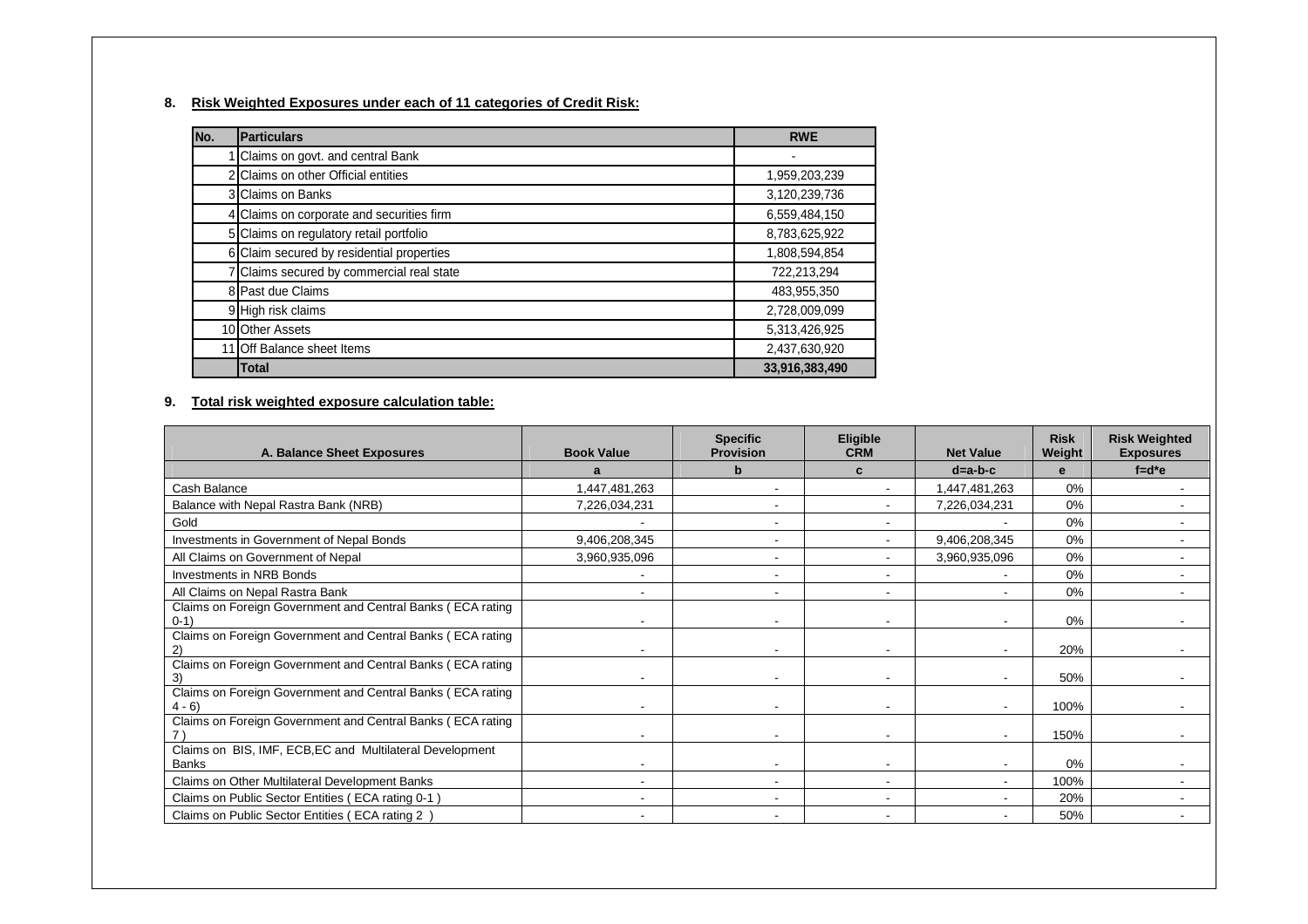# **8. Risk Weighted Exposures under each of 11 categories of Credit Risk:**

| No. | <b>Particulars</b>                        | <b>RWE</b>     |
|-----|-------------------------------------------|----------------|
|     | Claims on govt. and central Bank          |                |
|     | 2 Claims on other Official entities       | 1,959,203,239  |
|     | 3 Claims on Banks                         | 3,120,239,736  |
|     | Claims on corporate and securities firm   | 6,559,484,150  |
|     | 5 Claims on regulatory retail portfolio   | 8,783,625,922  |
|     | 6 Claim secured by residential properties | 1,808,594,854  |
|     | Claims secured by commercial real state   | 722,213,294    |
|     | 8 Past due Claims                         | 483,955,350    |
|     | 9 High risk claims                        | 2,728,009,099  |
|     | 10 Other Assets                           | 5,313,426,925  |
|     | 11 Off Balance sheet Items                | 2,437,630,920  |
|     | <b>Total</b>                              | 33,916,383,490 |

# **9. Total risk weighted exposure calculation table:**

| A. Balance Sheet Exposures                                               | <b>Book Value</b>        | <b>Specific</b><br><b>Provision</b> | <b>Eligible</b><br><b>CRM</b> | <b>Net Value</b> | <b>Risk</b><br>Weight | <b>Risk Weighted</b><br><b>Exposures</b> |
|--------------------------------------------------------------------------|--------------------------|-------------------------------------|-------------------------------|------------------|-----------------------|------------------------------------------|
|                                                                          |                          | b                                   | C                             | $d=a-b-c$        | e                     | $f = d^*e$                               |
| Cash Balance                                                             | 1,447,481,263            |                                     |                               | 1,447,481,263    | $0\%$                 |                                          |
| Balance with Nepal Rastra Bank (NRB)                                     | 7,226,034,231            |                                     |                               | 7,226,034,231    | 0%                    |                                          |
| Gold                                                                     |                          |                                     |                               |                  | 0%                    |                                          |
| Investments in Government of Nepal Bonds                                 | 9,406,208,345            | -                                   |                               | 9,406,208,345    | 0%                    |                                          |
| All Claims on Government of Nepal                                        | 3,960,935,096            | ۰                                   |                               | 3,960,935,096    | 0%                    |                                          |
| Investments in NRB Bonds                                                 | ٠                        | $\overline{\phantom{0}}$            |                               |                  | 0%                    |                                          |
| All Claims on Nepal Rastra Bank                                          | $\overline{\phantom{a}}$ | $\overline{\phantom{0}}$            |                               |                  | $0\%$                 |                                          |
| Claims on Foreign Government and Central Banks (ECA rating<br>$0-1)$     |                          |                                     |                               |                  | 0%                    |                                          |
| Claims on Foreign Government and Central Banks (ECA rating<br>2)         | ٠                        |                                     |                               |                  | 20%                   |                                          |
| Claims on Foreign Government and Central Banks (ECA rating               | ٠                        |                                     |                               |                  | 50%                   |                                          |
| Claims on Foreign Government and Central Banks (ECA rating<br>$4 - 6$    | ۰                        |                                     |                               |                  | 100%                  |                                          |
| Claims on Foreign Government and Central Banks (ECA rating               |                          |                                     |                               |                  | 150%                  |                                          |
| Claims on BIS, IMF, ECB, EC and Multilateral Development<br><b>Banks</b> |                          |                                     |                               |                  | 0%                    |                                          |
| Claims on Other Multilateral Development Banks                           | ۰                        | $\overline{\phantom{a}}$            |                               | ۰                | 100%                  |                                          |
| Claims on Public Sector Entities (ECA rating 0-1)                        | ۰                        |                                     |                               |                  | 20%                   |                                          |
| Claims on Public Sector Entities (ECA rating 2)                          | ٠                        |                                     |                               |                  | 50%                   |                                          |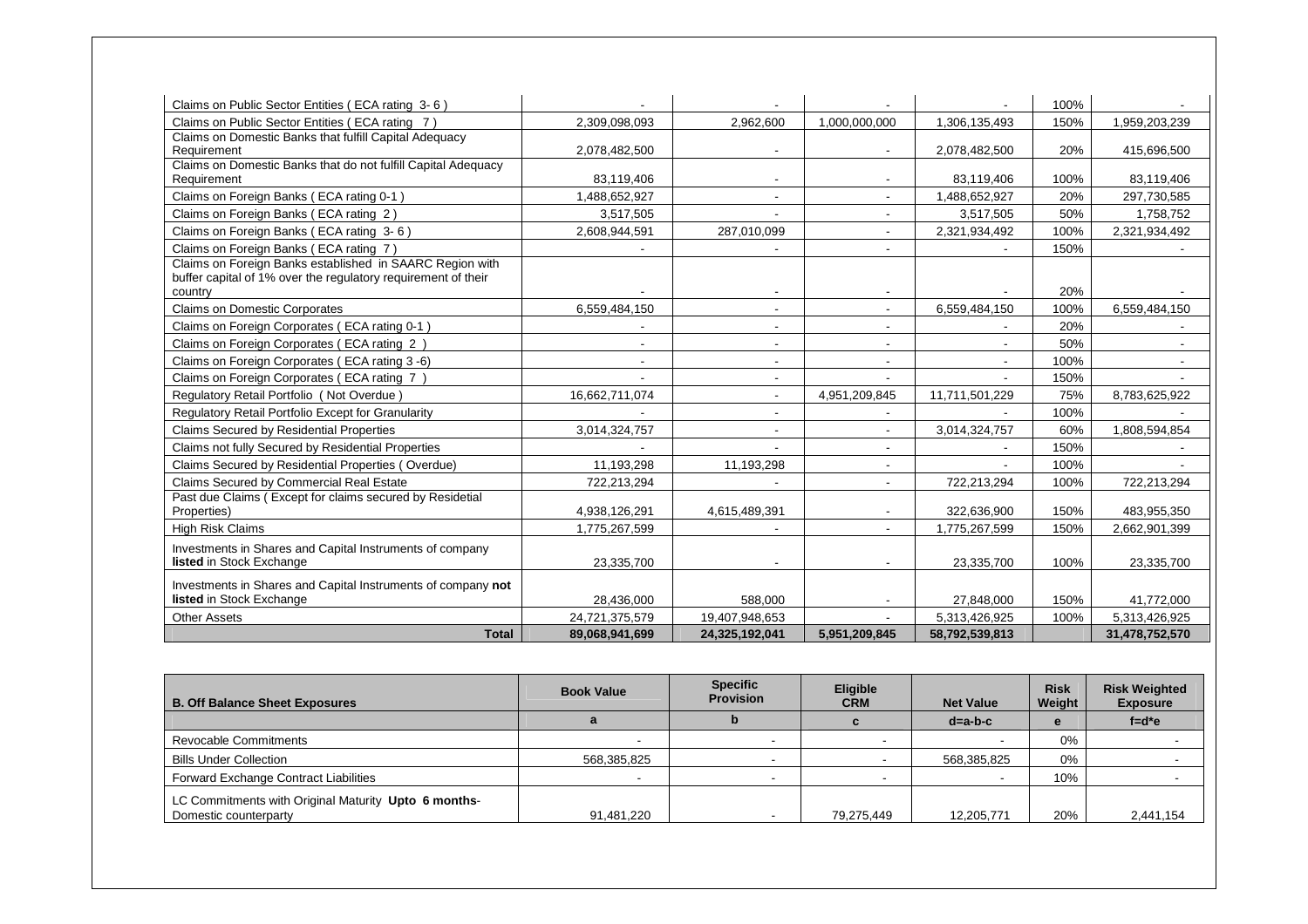| Claims on Public Sector Entities (ECA rating 3-6)                                                                         |                          |                          |                |                          | 100% |                |
|---------------------------------------------------------------------------------------------------------------------------|--------------------------|--------------------------|----------------|--------------------------|------|----------------|
| Claims on Public Sector Entities (ECA rating 7)                                                                           | 2.309.098.093            | 2.962.600                | 1.000.000.000  | 1,306,135,493            | 150% | 1,959,203,239  |
| Claims on Domestic Banks that fulfill Capital Adequacy                                                                    |                          |                          |                |                          |      |                |
| Requirement                                                                                                               | 2.078.482.500            |                          |                | 2.078.482.500            | 20%  | 415,696,500    |
| Claims on Domestic Banks that do not fulfill Capital Adequacy                                                             |                          |                          |                |                          | 100% |                |
| Requirement                                                                                                               | 83,119,406               | $\sim$                   |                | 83,119,406               | 20%  | 83,119,406     |
| Claims on Foreign Banks (ECA rating 0-1)                                                                                  | 1,488,652,927            |                          | $\blacksquare$ | 1,488,652,927            |      | 297,730,585    |
| Claims on Foreign Banks (ECA rating 2)                                                                                    | 3.517.505                |                          |                | 3.517.505                | 50%  | 1,758,752      |
| Claims on Foreign Banks (ECA rating 3-6)                                                                                  | 2,608,944,591            | 287,010,099              |                | 2,321,934,492            | 100% | 2,321,934,492  |
| Claims on Foreign Banks (ECA rating 7)                                                                                    |                          |                          |                |                          | 150% |                |
| Claims on Foreign Banks established in SAARC Region with<br>buffer capital of 1% over the regulatory requirement of their |                          |                          |                |                          |      |                |
| country                                                                                                                   |                          |                          |                |                          | 20%  |                |
| <b>Claims on Domestic Corporates</b>                                                                                      | 6.559.484.150            | $\blacksquare$           | $\blacksquare$ | 6,559,484,150            | 100% | 6,559,484,150  |
| Claims on Foreign Corporates (ECA rating 0-1)                                                                             |                          |                          |                |                          | 20%  |                |
| Claims on Foreign Corporates (ECA rating 2)                                                                               | $\overline{\phantom{a}}$ | $\overline{\phantom{a}}$ | $\blacksquare$ | $\overline{\phantom{a}}$ | 50%  |                |
| Claims on Foreign Corporates (ECA rating 3 -6)                                                                            |                          |                          |                |                          | 100% |                |
| Claims on Foreign Corporates (ECA rating 7)                                                                               |                          | $\overline{\phantom{a}}$ |                |                          | 150% |                |
| Regulatory Retail Portfolio (Not Overdue)                                                                                 | 16,662,711,074           |                          | 4,951,209,845  | 11,711,501,229           | 75%  | 8,783,625,922  |
| Regulatory Retail Portfolio Except for Granularity                                                                        |                          |                          |                |                          | 100% |                |
| <b>Claims Secured by Residential Properties</b>                                                                           | 3,014,324,757            | $\overline{\phantom{a}}$ | $\blacksquare$ | 3,014,324,757            | 60%  | 1,808,594,854  |
| Claims not fully Secured by Residential Properties                                                                        |                          |                          |                |                          | 150% |                |
| Claims Secured by Residential Properties (Overdue)                                                                        | 11.193.298               | 11,193,298               | $\blacksquare$ |                          | 100% |                |
| Claims Secured by Commercial Real Estate                                                                                  | 722,213,294              |                          |                | 722,213,294              | 100% | 722,213,294    |
| Past due Claims (Except for claims secured by Residetial                                                                  |                          |                          |                |                          |      |                |
| Properties)                                                                                                               | 4,938,126,291            | 4,615,489,391            |                | 322,636,900              | 150% | 483,955,350    |
| <b>High Risk Claims</b>                                                                                                   | 1,775,267,599            |                          |                | 1,775,267,599            | 150% | 2,662,901,399  |
| Investments in Shares and Capital Instruments of company                                                                  |                          |                          |                |                          |      |                |
| listed in Stock Exchange                                                                                                  | 23.335.700               |                          |                | 23,335,700               | 100% | 23,335,700     |
| Investments in Shares and Capital Instruments of company not                                                              |                          |                          |                |                          |      |                |
| listed in Stock Exchange                                                                                                  | 28.436.000               | 588.000                  |                | 27,848,000               | 150% | 41,772,000     |
| <b>Other Assets</b>                                                                                                       | 24,721,375,579           | 19,407,948,653           |                | 5,313,426,925            | 100% | 5,313,426,925  |
| <b>Total</b>                                                                                                              | 89,068,941,699           | 24,325,192,041           | 5.951.209.845  | 58,792,539,813           |      | 31,478,752,570 |

| <b>B. Off Balance Sheet Exposures</b>                                         | <b>Book Value</b>        | <b>Specific</b><br><b>Provision</b> | <b>Eligible</b><br><b>CRM</b> | <b>Net Value</b> | <b>Risk</b><br>Weight | <b>Risk Weighted</b><br><b>Exposure</b> |
|-------------------------------------------------------------------------------|--------------------------|-------------------------------------|-------------------------------|------------------|-----------------------|-----------------------------------------|
|                                                                               |                          |                                     |                               | $d=a-b-c$        | е                     | $f = d^*e$                              |
| <b>Revocable Commitments</b>                                                  |                          |                                     |                               |                  | 0%                    |                                         |
| <b>Bills Under Collection</b>                                                 | 568,385,825              | . .                                 |                               | 568,385,825      | 0%                    |                                         |
| Forward Exchange Contract Liabilities                                         | $\overline{\phantom{0}}$ | . .                                 |                               |                  | 10%                   |                                         |
| LC Commitments with Original Maturity Upto 6 months-<br>Domestic counterparty | 91,481,220               |                                     | 79,275,449                    | 12,205,771       | 20%                   | 2,441,154                               |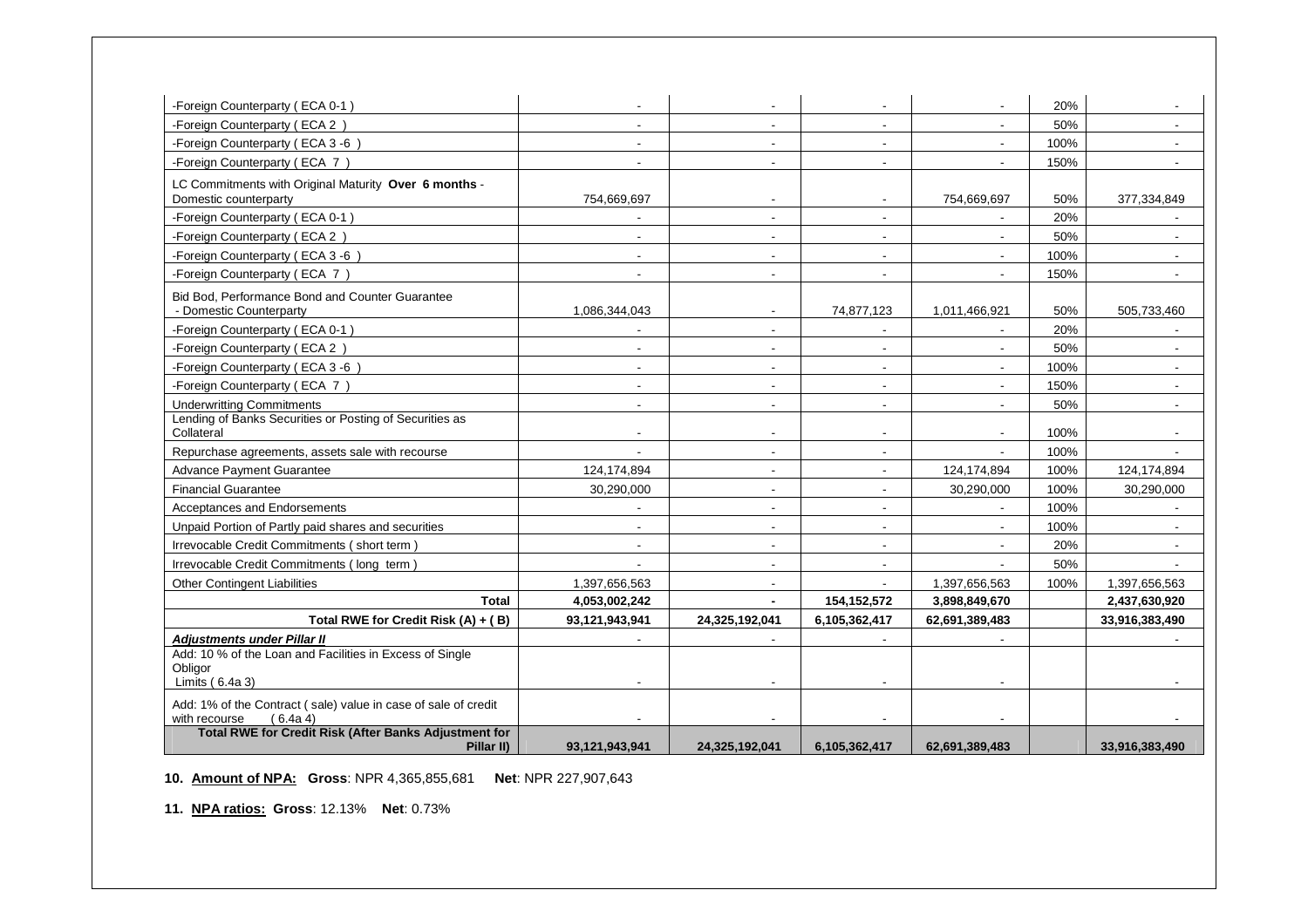| -Foreign Counterparty (ECA 0-1)                                                                                              |                          |                          |                          |                          | 20%  |                |
|------------------------------------------------------------------------------------------------------------------------------|--------------------------|--------------------------|--------------------------|--------------------------|------|----------------|
| -Foreign Counterparty (ECA 2)                                                                                                |                          |                          |                          | $\sim$                   | 50%  |                |
| -Foreign Counterparty (ECA 3-6)                                                                                              |                          |                          | $\overline{a}$           | ÷                        | 100% |                |
| -Foreign Counterparty (ECA 7)                                                                                                |                          |                          |                          |                          | 150% |                |
| LC Commitments with Original Maturity Over 6 months -<br>Domestic counterparty                                               | 754,669,697              |                          |                          | 754,669,697              | 50%  | 377,334,849    |
| -Foreign Counterparty (ECA 0-1)                                                                                              |                          |                          |                          |                          | 20%  |                |
| -Foreign Counterparty (ECA 2)                                                                                                |                          |                          |                          |                          | 50%  |                |
| -Foreign Counterparty (ECA 3 -6)                                                                                             |                          |                          |                          |                          | 100% |                |
| -Foreign Counterparty (ECA 7)                                                                                                | $\overline{\phantom{a}}$ | $\overline{\phantom{a}}$ | $\blacksquare$           | $\blacksquare$           | 150% |                |
| Bid Bod, Performance Bond and Counter Guarantee<br>- Domestic Counterparty                                                   | 1.086.344.043            | $\overline{\phantom{a}}$ | 74.877.123               | 1,011,466,921            | 50%  | 505.733.460    |
| -Foreign Counterparty (ECA 0-1)                                                                                              |                          | $\overline{\phantom{a}}$ | $\blacksquare$           | $\blacksquare$           | 20%  |                |
| -Foreign Counterparty (ECA 2)                                                                                                | $\blacksquare$           |                          | $\overline{\phantom{a}}$ | $\blacksquare$           | 50%  |                |
| -Foreign Counterparty (ECA 3 -6)                                                                                             | $\overline{\phantom{a}}$ | $\sim$                   | $\blacksquare$           | $\blacksquare$           | 100% |                |
| -Foreign Counterparty (ECA 7)                                                                                                | $\overline{\phantom{a}}$ | $\overline{\phantom{a}}$ | $\blacksquare$           | $\blacksquare$           | 150% |                |
| <b>Underwritting Commitments</b>                                                                                             |                          |                          |                          |                          | 50%  |                |
| Lending of Banks Securities or Posting of Securities as<br>Collateral                                                        | $\overline{\phantom{a}}$ | $\overline{\phantom{a}}$ | $\blacksquare$           | $\overline{\phantom{a}}$ | 100% |                |
| Repurchase agreements, assets sale with recourse                                                                             |                          | $\sim$                   | $\overline{\phantom{a}}$ |                          | 100% |                |
| <b>Advance Payment Guarantee</b>                                                                                             | 124,174,894              |                          |                          | 124,174,894              | 100% | 124,174,894    |
| <b>Financial Guarantee</b>                                                                                                   | 30,290,000               |                          |                          | 30,290,000               | 100% | 30,290,000     |
| Acceptances and Endorsements                                                                                                 |                          |                          |                          |                          | 100% |                |
| Unpaid Portion of Partly paid shares and securities                                                                          | $\overline{\phantom{a}}$ | $\overline{\phantom{a}}$ | $\blacksquare$           | $\overline{\phantom{a}}$ | 100% |                |
| Irrevocable Credit Commitments (short term)                                                                                  | $\overline{\phantom{a}}$ | $\overline{\phantom{a}}$ | $\overline{\phantom{a}}$ | $\overline{\phantom{a}}$ | 20%  |                |
| Irrevocable Credit Commitments (long term)                                                                                   | $\blacksquare$           | $\overline{\phantom{a}}$ | $\overline{\phantom{a}}$ | $\overline{\phantom{a}}$ | 50%  |                |
| Other Contingent Liabilities                                                                                                 | 1,397,656,563            | $\overline{\phantom{a}}$ | $\overline{\phantom{a}}$ | 1,397,656,563            | 100% | 1,397,656,563  |
| <b>Total</b>                                                                                                                 | 4,053,002,242            | $\blacksquare$           | 154, 152, 572            | 3,898,849,670            |      | 2,437,630,920  |
| Total RWE for Credit Risk (A) + (B)                                                                                          | 93,121,943,941           | 24,325,192,041           | 6,105,362,417            | 62,691,389,483           |      | 33,916,383,490 |
| <b>Adjustments under Pillar II</b><br>Add: 10 % of the Loan and Facilities in Excess of Single<br>Obligor<br>Limits (6.4a 3) |                          |                          |                          |                          |      |                |
| Add: 1% of the Contract (sale) value in case of sale of credit<br>(6.4a 4)<br>with recourse                                  |                          |                          |                          |                          |      |                |
| <b>Total RWE for Credit Risk (After Banks Adjustment for</b><br>Pillar II)                                                   | 93,121,943,941           | 24,325,192,041           | 6,105,362,417            | 62,691,389,483           |      | 33,916,383,490 |

**10. Amount of NPA: Gross**: NPR 4,365,855,681 **Net**: NPR 227,907,643

**11. NPA ratios: Gross**: 12.13% **Net**: 0.73%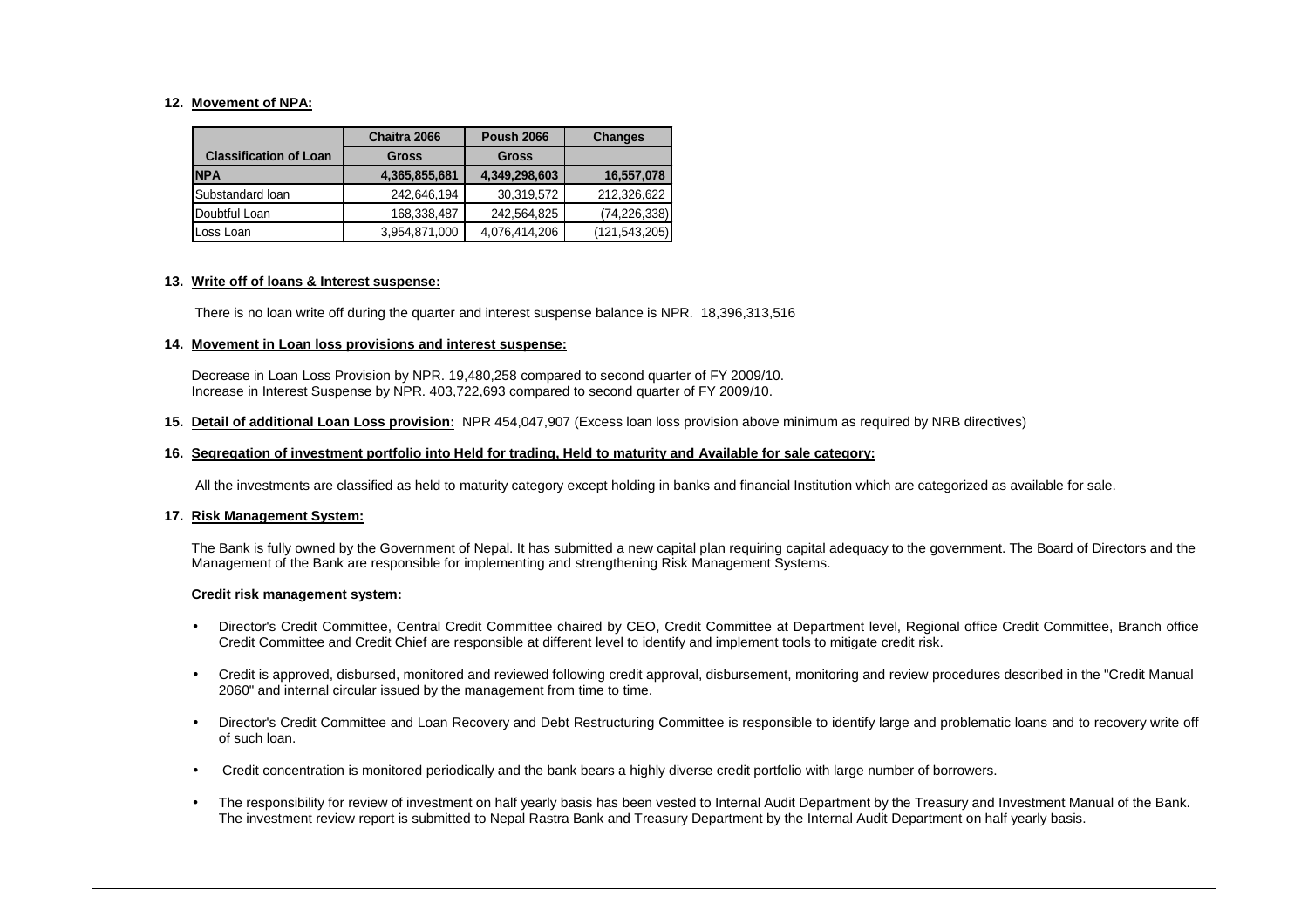## **12. Movement of NPA:**

|                               | Chaitra 2066  | <b>Poush 2066</b> | <b>Changes</b>  |  |
|-------------------------------|---------------|-------------------|-----------------|--|
| <b>Classification of Loan</b> | <b>Gross</b>  | <b>Gross</b>      |                 |  |
| <b>NPA</b>                    | 4,365,855,681 | 4,349,298,603     | 16,557,078      |  |
| Substandard loan              | 242,646,194   | 30,319,572        | 212,326,622     |  |
| Doubtful Loan                 | 168,338,487   | 242,564,825       | (74, 226, 338)  |  |
| Loss Loan                     | 3,954,871,000 | 4,076,414,206     | (121, 543, 205) |  |

#### **13. Write off of loans & Interest suspense:**

There is no loan write off during the quarter and interest suspense balance is NPR. 18,396,313,516

#### **14. Movement in Loan loss provisions and interest suspense:**

Decrease in Loan Loss Provision by NPR. 19,480,258 compared to second quarter of FY 2009/10. Increase in Interest Suspense by NPR. 403,722,693 compared to second quarter of FY 2009/10.

**15. Detail of additional Loan Loss provision:** NPR 454,047,907 (Excess loan loss provision above minimum as required by NRB directives)

#### **16. Segregation of investment portfolio into Held for trading, Held to maturity and Available for sale category:**

All the investments are classified as held to maturity category except holding in banks and financial Institution which are categorized as available for sale.

#### **17. Risk Management System:**

The Bank is fully owned by the Government of Nepal. It has submitted a new capital plan requiring capital adequacy to the government. The Board of Directors and the Management of the Bank are responsible for implementing and strengthening Risk Management Systems.

#### **Credit risk management system:**

- Director's Credit Committee, Central Credit Committee chaired by CEO, Credit Committee at Department level, Regional office Credit Committee, Branch office Credit Committee and Credit Chief are responsible at different level to identify and implement tools to mitigate credit risk.
- Credit is approved, disbursed, monitored and reviewed following credit approval, disbursement, monitoring and review procedures described in the "Credit Manual 2060" and internal circular issued by the management from time to time.
- Director's Credit Committee and Loan Recovery and Debt Restructuring Committee is responsible to identify large and problematic loans and to recovery write off of such loan.
- Credit concentration is monitored periodically and the bank bears a highly diverse credit portfolio with large number of borrowers.
- The responsibility for review of investment on half yearly basis has been vested to Internal Audit Department by the Treasury and Investment Manual of the Bank. The investment review report is submitted to Nepal Rastra Bank and Treasury Department by the Internal Audit Department on half yearly basis.